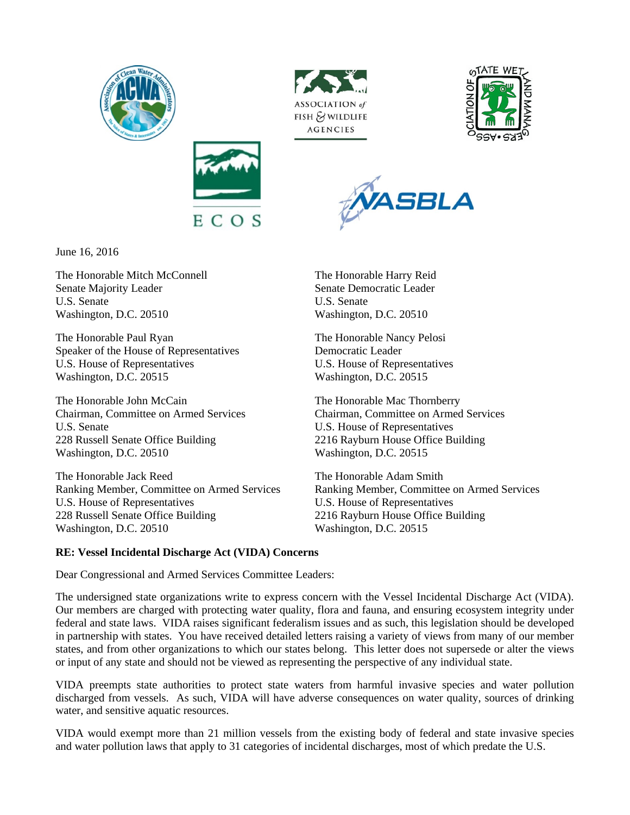









June 16, 2016

The Honorable Mitch McConnell The Honorable Harry Reid Senate Majority Leader Senate Democratic Leader U.S. Senate U.S. Senate Washington, D.C. 20510 Washington, D.C. 20510

The Honorable Paul Ryan The Honorable Nancy Pelosi Speaker of the House of Representatives Democratic Leader U.S. House of Representatives U.S. House of Representatives Washington, D.C. 20515 Washington, D.C. 20515

The Honorable John McCain The Honorable Mac Thornberry U.S. Senate U.S. House of Representatives 228 Russell Senate Office Building 2216 Rayburn House Office Building Washington, D.C. 20510 Washington, D.C. 20515

The Honorable Jack Reed The Honorable Adam Smith U.S. House of Representatives U.S. House of Representatives 228 Russell Senate Office Building 2216 Rayburn House Office Building Washington, D.C. 20510 Washington, D.C. 20515

Chairman, Committee on Armed Services Chairman, Committee on Armed Services

Ranking Member, Committee on Armed Services Ranking Member, Committee on Armed Services

## **RE: Vessel Incidental Discharge Act (VIDA) Concerns**

Dear Congressional and Armed Services Committee Leaders:

The undersigned state organizations write to express concern with the Vessel Incidental Discharge Act (VIDA). Our members are charged with protecting water quality, flora and fauna, and ensuring ecosystem integrity under federal and state laws. VIDA raises significant federalism issues and as such, this legislation should be developed in partnership with states. You have received detailed letters raising a variety of views from many of our member states, and from other organizations to which our states belong. This letter does not supersede or alter the views or input of any state and should not be viewed as representing the perspective of any individual state.

VIDA preempts state authorities to protect state waters from harmful invasive species and water pollution discharged from vessels. As such, VIDA will have adverse consequences on water quality, sources of drinking water, and sensitive aquatic resources.

VIDA would exempt more than 21 million vessels from the existing body of federal and state invasive species and water pollution laws that apply to 31 categories of incidental discharges, most of which predate the U.S.